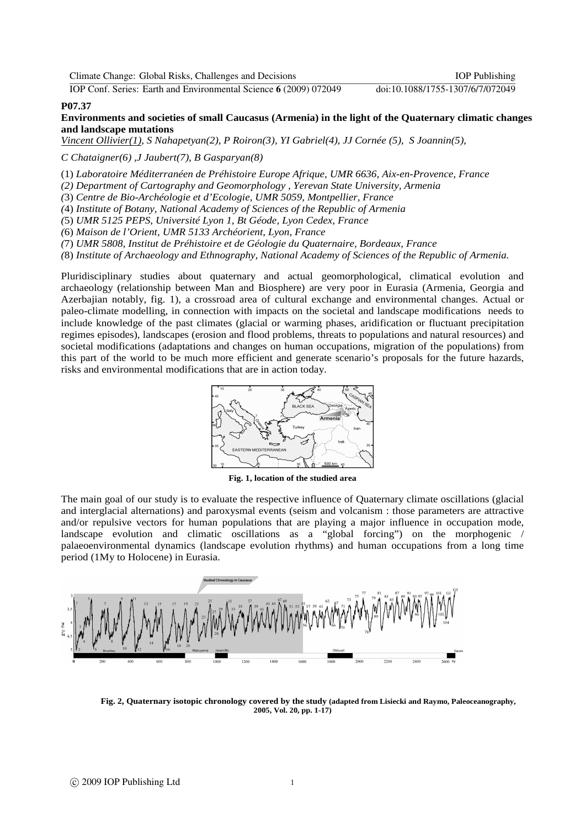IOP Conf. Series: Earth and Environmental Science **6** (2009) 072049 doi:10.1088/1755-1307/6/7/072049

## **P07.37**

**Environments and societies of small Caucasus (Armenia) in the light of the Quaternary climatic changes and landscape mutations** 

*Vincent Ollivier(1), S Nahapetyan(2), P Roiron(3), YI Gabriel(4), JJ Cornée (5), S Joannin(5),* 

*C Chataigner(6) ,J Jaubert(7), B Gasparyan(8)* 

(1) *Laboratoire Méditerranéen de Préhistoire Europe Afrique, UMR 6636, Aix-en-Provence, France* 

*(2) Department of Cartography and Geomorphology , Yerevan State University, Armenia* 

*(*3) *Centre de Bio-Archéologie et d'Ecologie, UMR 5059, Montpellier, France* 

*(*4) *Institute of Botany, National Academy of Sciences of the Republic of Armenia* 

*(*5) *UMR 5125 PEPS, Université Lyon 1, Bt Géode, Lyon Cedex, France* 

*(*6) *Maison de l'Orient, UMR 5133 Archéorient, Lyon, France* 

*(*7) *UMR 5808, Institut de Préhistoire et de Géologie du Quaternaire, Bordeaux, France* 

*(*8) *Institute of Archaeology and Ethnography, National Academy of Sciences of the Republic of Armenia.*

Pluridisciplinary studies about quaternary and actual geomorphological, climatical evolution and archaeology (relationship between Man and Biosphere) are very poor in Eurasia (Armenia, Georgia and Azerbajian notably, fig. 1), a crossroad area of cultural exchange and environmental changes. Actual or paleo-climate modelling, in connection with impacts on the societal and landscape modifications needs to include knowledge of the past climates (glacial or warming phases, aridification or fluctuant precipitation regimes episodes), landscapes (erosion and flood problems, threats to populations and natural resources) and societal modifications (adaptations and changes on human occupations, migration of the populations) from this part of the world to be much more efficient and generate scenario's proposals for the future hazards, risks and environmental modifications that are in action today.



**Fig. 1, location of the studied area** 

The main goal of our study is to evaluate the respective influence of Quaternary climate oscillations (glacial and interglacial alternations) and paroxysmal events (seism and volcanism : those parameters are attractive and/or repulsive vectors for human populations that are playing a major influence in occupation mode, landscape evolution and climatic oscillations as a "global forcing") on the morphogenic / palaeoenvironmental dynamics (landscape evolution rhythms) and human occupations from a long time period (1My to Holocene) in Eurasia.



**Fig. 2, Quaternary isotopic chronology covered by the study (adapted from Lisiecki and Raymo, Paleoceanography, 2005, Vol. 20, pp. 1-17)**